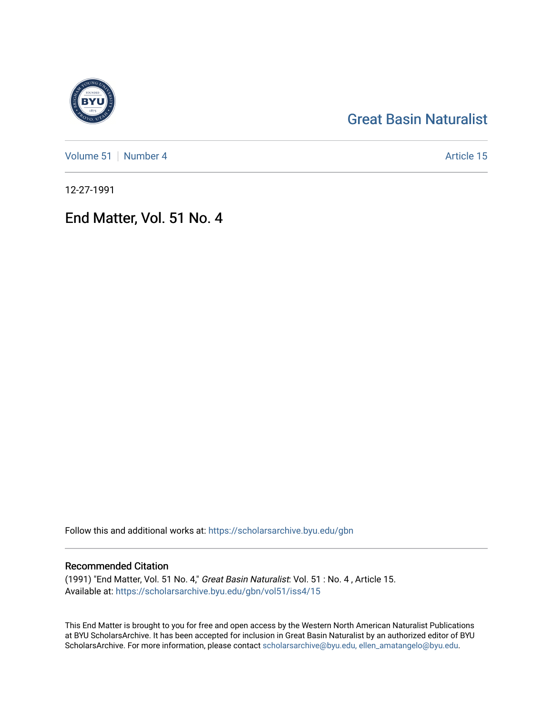# [Great Basin Naturalist](https://scholarsarchive.byu.edu/gbn)

[Volume 51](https://scholarsarchive.byu.edu/gbn/vol51) [Number 4](https://scholarsarchive.byu.edu/gbn/vol51/iss4) Article 15

12-27-1991

# End Matter, Vol. 51 No. 4

Follow this and additional works at: [https://scholarsarchive.byu.edu/gbn](https://scholarsarchive.byu.edu/gbn?utm_source=scholarsarchive.byu.edu%2Fgbn%2Fvol51%2Fiss4%2F15&utm_medium=PDF&utm_campaign=PDFCoverPages) 

### Recommended Citation

(1991) "End Matter, Vol. 51 No. 4," Great Basin Naturalist: Vol. 51 : No. 4 , Article 15. Available at: [https://scholarsarchive.byu.edu/gbn/vol51/iss4/15](https://scholarsarchive.byu.edu/gbn/vol51/iss4/15?utm_source=scholarsarchive.byu.edu%2Fgbn%2Fvol51%2Fiss4%2F15&utm_medium=PDF&utm_campaign=PDFCoverPages) 

This End Matter is brought to you for free and open access by the Western North American Naturalist Publications at BYU ScholarsArchive. It has been accepted for inclusion in Great Basin Naturalist by an authorized editor of BYU ScholarsArchive. For more information, please contact [scholarsarchive@byu.edu, ellen\\_amatangelo@byu.edu.](mailto:scholarsarchive@byu.edu,%20ellen_amatangelo@byu.edu)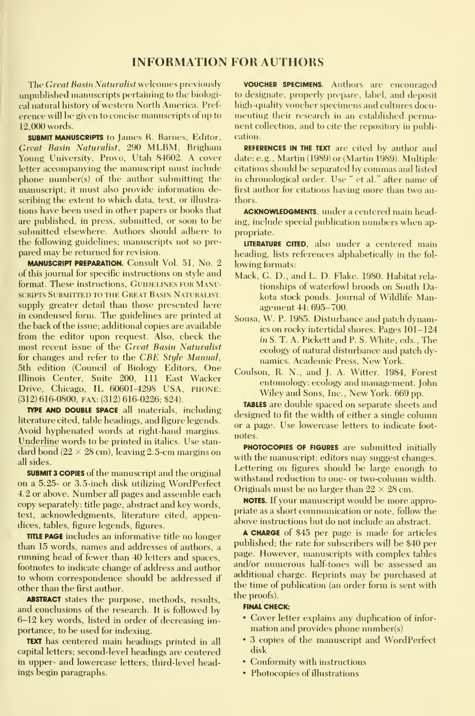### INFORMATION FOR AUTHORS

The Great Basin Naturalist welcomes previously unpublished manuscripts pertaining to the biological natural history of western North America. Prei erence will be given to concise manuscripts of up to 12,000 words.

**SUBMIT MANUSCRIPTS** to James R. Barnes, Editor, Great Basin Naturalist, 290 MLBM, Brigham Young University, Provo, Utah 84602. A cover letter accompanying the manuscript must include phone number(s) of the author submitting the manuscript; it must also provide information describing the extent to which data, text, or illustrations have been used in other papers or books that are published, in press, submitted, or soon to be submitted elsewhere. Authors should adhere to the following guidelines; manuscripts not so pre pared may be returned for revision.

MANUSCRIPT PREPARATION. Consult Vol. 51, No. 2 of this journal for specific instructions on style and format. These instructions. GUIDELINES FOR MANUscripts Submitted TO THE Great Basin Naturalist, supply greater detail than those presented here in condensed form. The guidelines are printed at the back of the issue; additional copies are available from the editor upon request. Also, check the most recent issue of the Great Basin Naturalist for changes and refer to the CBE Style Manual, 5th edition (Council of Biology Editors, One Illinois Center, Suite 200, HI East Wacker Drive, Chicago, IL 60601-4298 USA, PHONE: (312) 616-0800, FAX: (312) 616-0226; \$24).

TYPE AND DOUBLE SPACE all materials, including literature cited, table headings, and figure legends. Avoid hyphenated words at right-hand margins. Underline words to be printed in italics. Use stan dard bond  $(22 \times 28$  cm), leaving 2.5-cm margins on all sides.

**SUBMIT 3 COPIES** of the manuscript and the original on a 5.25- or 3.5-inch disk utilizing WordPerfect 4.2 or above. Number all pages and assemble each copy separately: title page, abstract and key words, text, acknowledgments, literature cited, appendices, tables, figure legends, figures.

TITLE PAGE includes an informative title no longer than 15 words, names and addresses of authors, a running head of fewer than 40 letters and spaces, footnotes to indicate change of address and author to whom correspondence should be addressed if other than the first author.

ABSTRACT states the purpose, methods, results, and conclusions of the research. It is followed by 6-12 key words, listed in order of decreasing importance, to be used for indexing.

TEXT has centered main headings printed in all capital letters; second-level headings are centered in upper- and lowercase letters; third-level headings begin paragraphs.

VOUCHER SPECIMENS. Authors are encouraged to designate, properly prepare, label, and deposit high-quality voucher specimens and cultures documenting their research in an established permanent collection, and to cite the repository in publication.

REFERENCES IN THE TEXT are cited by author and date: e.g., Martin (1989) or (Martin 1989). Multiple citations should be separated by commas and listed in chronological order. Use " et al." after name of first author for citations having more than two authors.

ACKNOWLEDGMENTS, under a centered main heading, include special publication numbers when appropriate.

LITERATURE CITED, also under a centered main heading, lists references alphabetically in the fol lowing formats:

- Mack, G. D., and L. D. Flake. 1980. Habitat rela tionships of waterfowl broods on South Dakota stock ponds. Journal of Wildlife Management 44: 695-700.
- Sousa, W. P. 1985. Disturbance and patch dynamics on rocky intertidal shores. Pages 101-124 in S. T. A. Pickett and P. S. White, eds., The ecology of natural disturbance and patch dy namics. Academic Press, New York.
- Coulson, R. N., and J. A. Witter. 1984, Forest entomology: ecology and management. John Wiley and Sons, Inc. , New York. 669 pp.

TABLES are double spaced on separate sheets and designed to fit the width of either a single column or a page. Use lowercase letters to indicate foot notes.

PHOTOCOPIES OF FIGURES are submitted initially with the manuscript; editors may suggest changes. Lettering on figures should be large enough to withstand reduction to one- or two-column width. Originals must be no larger than  $22 \times 28$  cm.

NOTES. If your manuscript would be more appropriate as a short communication or note, follow the above instructions but do not include an abstract.

A CHARGE of \$45 per page is made for articles published; the rate for subscribers will be \$40 per page. However, manuscripts with complex tables and/or numerous half-tones will be assessed an additional charge. Reprints may be purchased at the time of publication (an order form is sent with the proofs).

#### FINAL CHECK:

- Cover letter explains any duplication of infor mation and provides phone number(s)
- 3 copies of the manuscript and WordPerfect disk
- Conformity with instructions
- Photocopies of illustrations